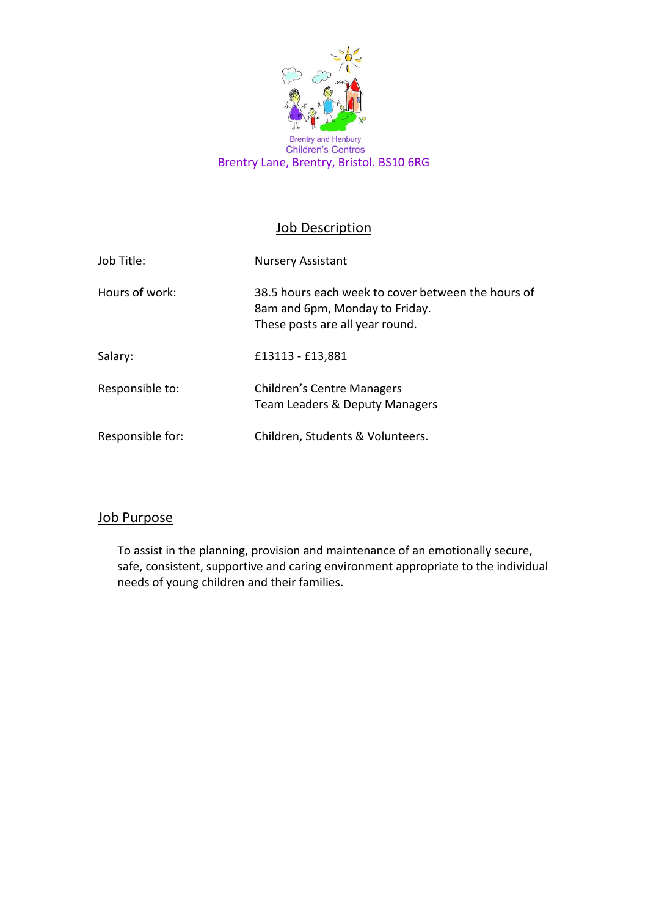

**Children's Centres** Brentry Lane, Brentry, Bristol. BS10 6RG

# **Job Description**

| Job Title:       | <b>Nursery Assistant</b>                                                                                                |
|------------------|-------------------------------------------------------------------------------------------------------------------------|
| Hours of work:   | 38.5 hours each week to cover between the hours of<br>8am and 6pm, Monday to Friday.<br>These posts are all year round. |
| Salary:          | £13113 - £13,881                                                                                                        |
| Responsible to:  | Children's Centre Managers<br>Team Leaders & Deputy Managers                                                            |
| Responsible for: | Children, Students & Volunteers.                                                                                        |

#### Job Purpose

To assist in the planning, provision and maintenance of an emotionally secure, safe, consistent, supportive and caring environment appropriate to the individual needs of young children and their families.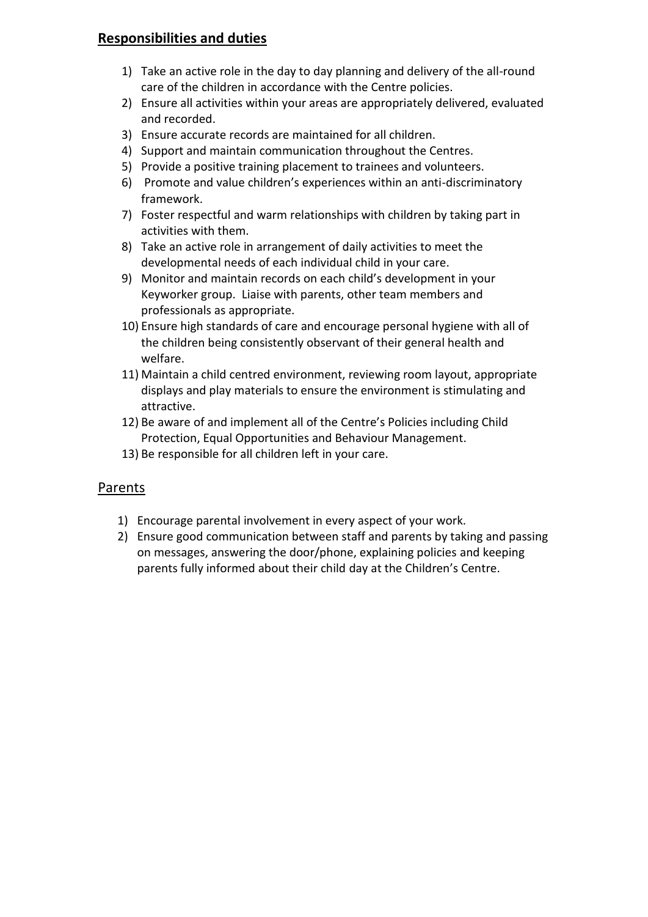### **Responsibilities and duties**

- 1) Take an active role in the day to day planning and delivery of the all-round care of the children in accordance with the Centre policies.
- 2) Ensure all activities within your areas are appropriately delivered, evaluated and recorded.
- 3) Ensure accurate records are maintained for all children.
- 4) Support and maintain communication throughout the Centres.
- 5) Provide a positive training placement to trainees and volunteers.
- 6) Promote and value children's experiences within an anti-discriminatory framework.
- 7) Foster respectful and warm relationships with children by taking part in activities with them.
- 8) Take an active role in arrangement of daily activities to meet the developmental needs of each individual child in your care.
- 9) Monitor and maintain records on each child's development in your Keyworker group. Liaise with parents, other team members and professionals as appropriate.
- 10) Ensure high standards of care and encourage personal hygiene with all of the children being consistently observant of their general health and welfare.
- 11) Maintain a child centred environment, reviewing room layout, appropriate displays and play materials to ensure the environment is stimulating and attractive.
- 12) Be aware of and implement all of the Centre's Policies including Child Protection, Equal Opportunities and Behaviour Management.
- 13) Be responsible for all children left in your care.

# Parents

- 1) Encourage parental involvement in every aspect of your work.
- 2) Ensure good communication between staff and parents by taking and passing on messages, answering the door/phone, explaining policies and keeping parents fully informed about their child day at the Children's Centre.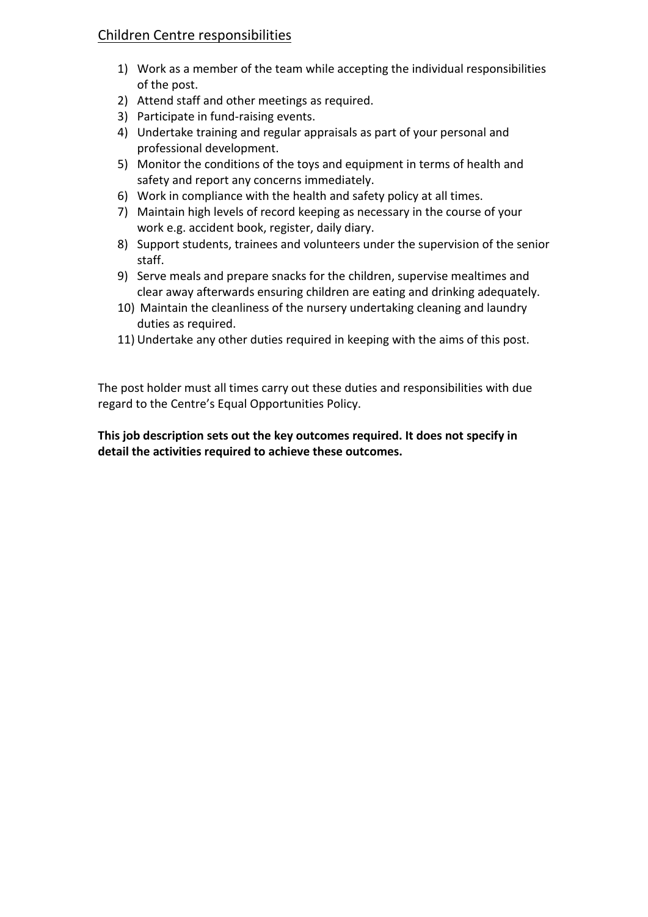# Children Centre responsibilities

- 1) Work as a member of the team while accepting the individual responsibilities of the post.
- 2) Attend staff and other meetings as required.
- 3) Participate in fund-raising events.
- 4) Undertake training and regular appraisals as part of your personal and professional development.
- 5) Monitor the conditions of the toys and equipment in terms of health and safety and report any concerns immediately.
- 6) Work in compliance with the health and safety policy at all times.
- 7) Maintain high levels of record keeping as necessary in the course of your work e.g. accident book, register, daily diary.
- 8) Support students, trainees and volunteers under the supervision of the senior staff.
- 9) Serve meals and prepare snacks for the children, supervise mealtimes and clear away afterwards ensuring children are eating and drinking adequately.
- 10) Maintain the cleanliness of the nursery undertaking cleaning and laundry duties as required.
- 11) Undertake any other duties required in keeping with the aims of this post.

The post holder must all times carry out these duties and responsibilities with due regard to the Centre's Equal Opportunities Policy.

**This job description sets out the key outcomes required. It does not specify in detail the activities required to achieve these outcomes.**